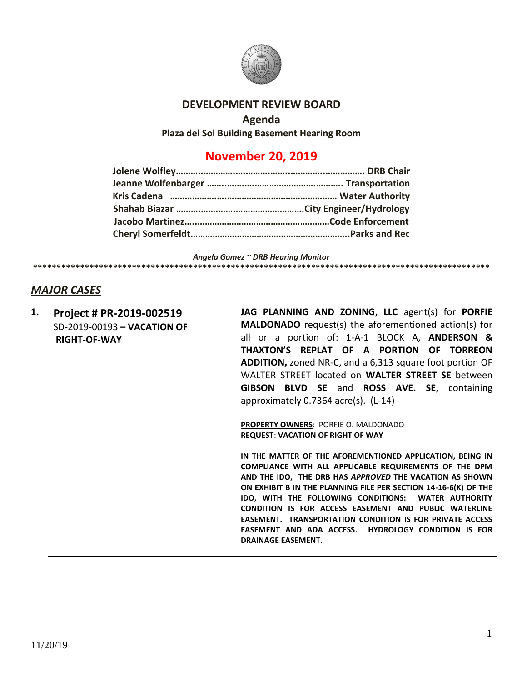

### **DEVELOPMENT REVIEW BOARD**

#### **Agenda**

**Plaza del Sol Building Basement Hearing Room**

# **November 20, 2019**

*Angela Gomez ~ DRB Hearing Monitor* **\*\*\*\*\*\*\*\*\*\*\*\*\*\*\*\*\*\*\*\*\*\*\*\*\*\*\*\*\*\*\*\*\*\*\*\*\*\*\*\*\*\*\*\*\*\*\*\*\*\*\*\*\*\*\*\*\*\*\*\*\*\*\*\*\*\*\*\*\*\*\*\*\*\*\*\*\*\*\*\*\*\*\*\*\*\*\*\*\*\*\*\*\*\*\*\*\***

## *MAJOR CASES*

**1. Project # PR-2019-002519** SD-2019-00193 **– VACATION OF RIGHT-OF-WAY**

**JAG PLANNING AND ZONING, LLC** agent(s) for **PORFIE MALDONADO** request(s) the aforementioned action(s) for all or a portion of: 1-A-1 BLOCK A, **ANDERSON & THAXTON'S REPLAT OF A PORTION OF TORREON ADDITION,** zoned NR-C, and a 6,313 square foot portion OF WALTER STREET located on **WALTER STREET SE** between **GIBSON BLVD SE** and **ROSS AVE. SE**, containing approximately 0.7364 acre(s). (L-14)

**PROPERTY OWNERS**: PORFIE O. MALDONADO **REQUEST**: **VACATION OF RIGHT OF WAY**

**IN THE MATTER OF THE AFOREMENTIONED APPLICATION, BEING IN COMPLIANCE WITH ALL APPLICABLE REQUIREMENTS OF THE DPM AND THE IDO, THE DRB HAS** *APPROVED* **THE VACATION AS SHOWN ON EXHIBIT B IN THE PLANNING FILE PER SECTION 14-16-6(K) OF THE IDO, WITH THE FOLLOWING CONDITIONS: WATER AUTHORITY CONDITION IS FOR ACCESS EASEMENT AND PUBLIC WATERLINE EASEMENT. TRANSPORTATION CONDITION IS FOR PRIVATE ACCESS EASEMENT AND ADA ACCESS. HYDROLOGY CONDITION IS FOR DRAINAGE EASEMENT.**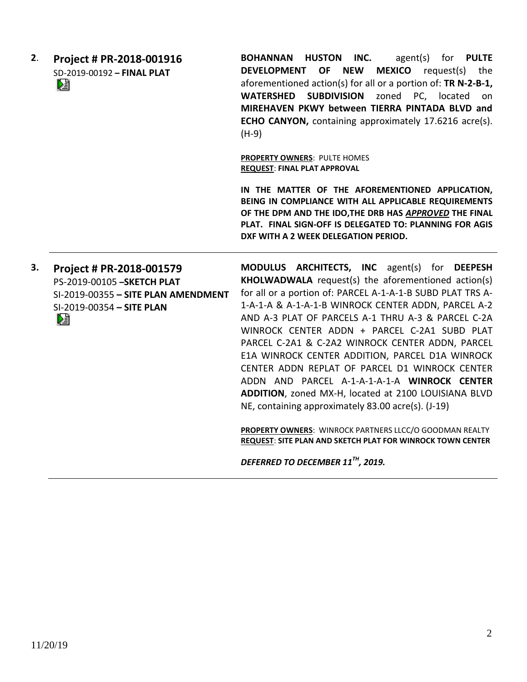| 2. | Project # PR-2018-001916<br>SD-2019-00192 - FINAL PLAT<br>N                                                                      | BOHANNAN HUSTON INC.<br>agent(s) for <b>PULTE</b><br><b>MEXICO</b> request(s)<br>DEVELOPMENT OF NEW<br>the<br>aforementioned action(s) for all or a portion of: TR N-2-B-1,<br><b>SUBDIVISION</b><br>zoned<br>PC, located<br><b>WATERSHED</b><br>on<br>MIREHAVEN PKWY between TIERRA PINTADA BLVD and<br>ECHO CANYON, containing approximately 17.6216 acre(s).<br>$(H-9)$<br>PROPERTY OWNERS: PULTE HOMES<br><b>REQUEST: FINAL PLAT APPROVAL</b>                                                                                                                                                                                                                                                                                                                                     |
|----|----------------------------------------------------------------------------------------------------------------------------------|---------------------------------------------------------------------------------------------------------------------------------------------------------------------------------------------------------------------------------------------------------------------------------------------------------------------------------------------------------------------------------------------------------------------------------------------------------------------------------------------------------------------------------------------------------------------------------------------------------------------------------------------------------------------------------------------------------------------------------------------------------------------------------------|
|    |                                                                                                                                  | IN THE MATTER OF THE AFOREMENTIONED APPLICATION,<br>BEING IN COMPLIANCE WITH ALL APPLICABLE REQUIREMENTS<br>OF THE DPM AND THE IDO, THE DRB HAS APPROVED THE FINAL<br>PLAT. FINAL SIGN-OFF IS DELEGATED TO: PLANNING FOR AGIS<br>DXF WITH A 2 WEEK DELEGATION PERIOD.                                                                                                                                                                                                                                                                                                                                                                                                                                                                                                                 |
| 3. | Project # PR-2018-001579<br>PS-2019-00105 - SKETCH PLAT<br>SI-2019-00355 - SITE PLAN AMENDMENT<br>SI-2019-00354 - SITE PLAN<br>è | MODULUS ARCHITECTS, INC agent(s) for DEEPESH<br>KHOLWADWALA request(s) the aforementioned action(s)<br>for all or a portion of: PARCEL A-1-A-1-B SUBD PLAT TRS A-<br>1-A-1-A & A-1-A-1-B WINROCK CENTER ADDN, PARCEL A-2<br>AND A-3 PLAT OF PARCELS A-1 THRU A-3 & PARCEL C-2A<br>WINROCK CENTER ADDN + PARCEL C-2A1 SUBD PLAT<br>PARCEL C-2A1 & C-2A2 WINROCK CENTER ADDN, PARCEL<br>E1A WINROCK CENTER ADDITION, PARCEL D1A WINROCK<br>CENTER ADDN REPLAT OF PARCEL D1 WINROCK CENTER<br>ADDN AND PARCEL A-1-A-1-A-1-A WINROCK CENTER<br>ADDITION, zoned MX-H, located at 2100 LOUISIANA BLVD<br>NE, containing approximately 83.00 acre(s). (J-19)<br>PROPERTY OWNERS: WINROCK PARTNERS LLCC/O GOODMAN REALTY<br><b>REQUEST: SITE PLAN AND SKETCH PLAT FOR WINROCK TOWN CENTER</b> |

*DEFERRED TO DECEMBER 11TH, 2019.*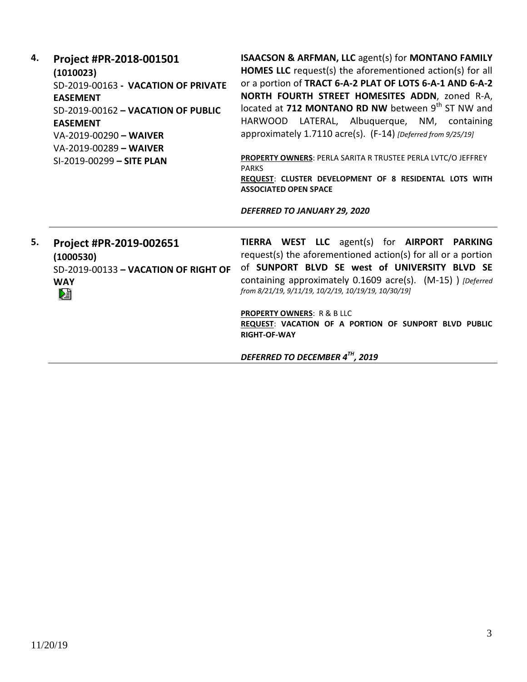| 4. | Project #PR-2018-001501<br>(1010023)<br>SD-2019-00163 - VACATION OF PRIVATE<br><b>EASEMENT</b><br>SD-2019-00162 - VACATION OF PUBLIC<br><b>EASEMENT</b><br>VA-2019-00290 - WAIVER<br>VA-2019-00289 - WAIVER<br>SI-2019-00299 - SITE PLAN | <b>ISAACSON &amp; ARFMAN, LLC agent(s) for MONTANO FAMILY</b><br><b>HOMES LLC</b> request(s) the aforementioned action(s) for all<br>or a portion of TRACT 6-A-2 PLAT OF LOTS 6-A-1 AND 6-A-2<br>NORTH FOURTH STREET HOMESITES ADDN, zoned R-A,<br>located at 712 MONTANO RD NW between 9 <sup>th</sup> ST NW and<br>HARWOOD LATERAL, Albuquerque, NM, containing<br>approximately 1.7110 acre(s). (F-14) [Deferred from 9/25/19]<br>PROPERTY OWNERS: PERLA SARITA R TRUSTEE PERLA LVTC/O JEFFREY<br><b>PARKS</b><br>REQUEST: CLUSTER DEVELOPMENT OF 8 RESIDENTAL LOTS WITH<br><b>ASSOCIATED OPEN SPACE</b><br>DEFERRED TO JANUARY 29, 2020 |
|----|------------------------------------------------------------------------------------------------------------------------------------------------------------------------------------------------------------------------------------------|---------------------------------------------------------------------------------------------------------------------------------------------------------------------------------------------------------------------------------------------------------------------------------------------------------------------------------------------------------------------------------------------------------------------------------------------------------------------------------------------------------------------------------------------------------------------------------------------------------------------------------------------|
| 5. | Project #PR-2019-002651<br>(1000530)<br>SD-2019-00133 - VACATION OF RIGHT OF<br><b>WAY</b><br>⊵∃                                                                                                                                         | TIERRA WEST LLC agent(s) for AIRPORT PARKING<br>request(s) the aforementioned action(s) for all or a portion<br>of SUNPORT BLVD SE west of UNIVERSITY BLVD SE<br>containing approximately 0.1609 acre(s). (M-15) ) [Deferred<br>from 8/21/19, 9/11/19, 10/2/19, 10/19/19, 10/30/19]<br><b>PROPERTY OWNERS: R &amp; B LLC</b><br>REQUEST: VACATION OF A PORTION OF SUNPORT BLVD PUBLIC<br><b>RIGHT-OF-WAY</b><br>DEFERRED TO DECEMBER 4TH, 2019                                                                                                                                                                                              |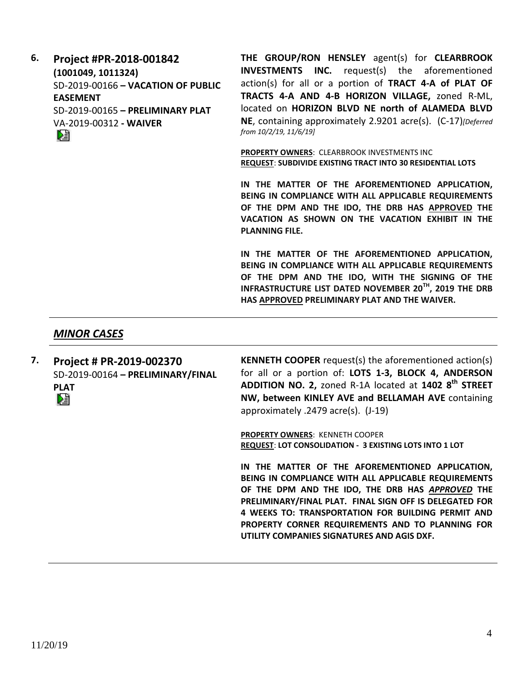| 6. | Project #PR-2018-001842            |  |  |
|----|------------------------------------|--|--|
|    | (1001049, 1011324)                 |  |  |
|    | SD-2019-00166 - VACATION OF PUBLIC |  |  |
|    | <b>EASEMENT</b>                    |  |  |
|    | SD-2019-00165 - PRELIMINARY PLAT   |  |  |
|    | VA-2019-00312 - WAIVER             |  |  |
|    |                                    |  |  |

**THE GROUP/RON HENSLEY** agent(s) for **CLEARBROOK INVESTMENTS INC.** request(s) the aforementioned action(s) for all or a portion of **TRACT 4-A of PLAT OF TRACTS 4-A AND 4-B HORIZON VILLAGE,** zoned R-ML, located on **HORIZON BLVD NE north of ALAMEDA BLVD NE**, containing approximately 2.9201 acre(s). (C-17)*[Deferred from 10/2/19, 11/6/19]*

**PROPERTY OWNERS**: CLEARBROOK INVESTMENTS INC **REQUEST**: **SUBDIVIDE EXISTING TRACT INTO 30 RESIDENTIAL LOTS**

**IN THE MATTER OF THE AFOREMENTIONED APPLICATION, BEING IN COMPLIANCE WITH ALL APPLICABLE REQUIREMENTS OF THE DPM AND THE IDO, THE DRB HAS APPROVED THE VACATION AS SHOWN ON THE VACATION EXHIBIT IN THE PLANNING FILE.**

**IN THE MATTER OF THE AFOREMENTIONED APPLICATION, BEING IN COMPLIANCE WITH ALL APPLICABLE REQUIREMENTS OF THE DPM AND THE IDO, WITH THE SIGNING OF THE INFRASTRUCTURE LIST DATED NOVEMBER 20TH, 2019 THE DRB HAS APPROVED PRELIMINARY PLAT AND THE WAIVER.**

#### *MINOR CASES*

**7. Project # PR-2019-002370** SD-2019-00164 **– PRELIMINARY/FINAL PLAT**

**KENNETH COOPER** request(s) the aforementioned action(s) for all or a portion of: **LOTS 1-3, BLOCK 4, ANDERSON ADDITION NO. 2,** zoned R-1A located at **1402 8th STREET NW, between KINLEY AVE and BELLAMAH AVE** containing approximately .2479 acre(s). (J-19)

**PROPERTY OWNERS**: KENNETH COOPER **REQUEST**: **LOT CONSOLIDATION - 3 EXISTING LOTS INTO 1 LOT**

**IN THE MATTER OF THE AFOREMENTIONED APPLICATION, BEING IN COMPLIANCE WITH ALL APPLICABLE REQUIREMENTS OF THE DPM AND THE IDO, THE DRB HAS** *APPROVED* **THE PRELIMINARY/FINAL PLAT. FINAL SIGN OFF IS DELEGATED FOR 4 WEEKS TO: TRANSPORTATION FOR BUILDING PERMIT AND PROPERTY CORNER REQUIREMENTS AND TO PLANNING FOR UTILITY COMPANIES SIGNATURES AND AGIS DXF.**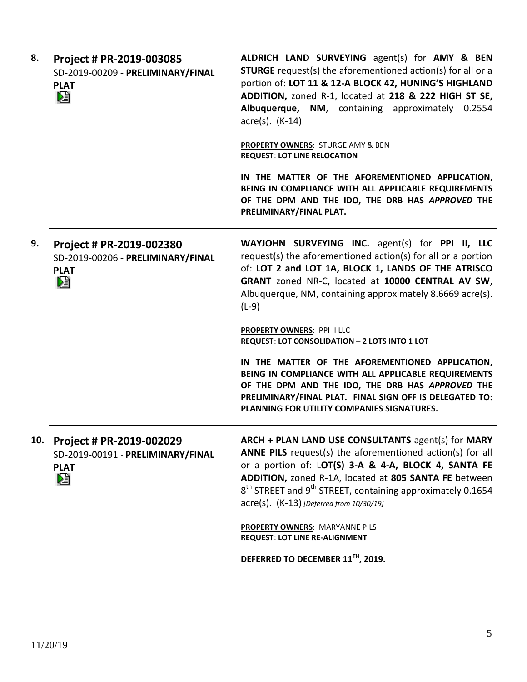| 8.  | Project # PR-2019-003085<br>SD-2019-00209 - PRELIMINARY/FINAL<br><b>PLAT</b><br>N  | ALDRICH LAND SURVEYING agent(s) for AMY & BEN<br><b>STURGE</b> request(s) the aforementioned action(s) for all or a<br>portion of: LOT 11 & 12-A BLOCK 42, HUNING'S HIGHLAND<br>ADDITION, zoned R-1, located at 218 & 222 HIGH ST SE,<br>Albuquerque, NM, containing approximately 0.2554<br>$\arccos(5)$ . (K-14)                                                 |
|-----|------------------------------------------------------------------------------------|--------------------------------------------------------------------------------------------------------------------------------------------------------------------------------------------------------------------------------------------------------------------------------------------------------------------------------------------------------------------|
|     |                                                                                    | <b>PROPERTY OWNERS: STURGE AMY &amp; BEN</b><br><b>REQUEST: LOT LINE RELOCATION</b>                                                                                                                                                                                                                                                                                |
|     |                                                                                    | IN THE MATTER OF THE AFOREMENTIONED APPLICATION,<br>BEING IN COMPLIANCE WITH ALL APPLICABLE REQUIREMENTS<br>OF THE DPM AND THE IDO, THE DRB HAS APPROVED THE<br>PRELIMINARY/FINAL PLAT.                                                                                                                                                                            |
| 9.  | Project # PR-2019-002380<br>SD-2019-00206 - PRELIMINARY/FINAL<br><b>PLAT</b><br>le | WAYJOHN SURVEYING INC. agent(s) for PPI II, LLC<br>request(s) the aforementioned action(s) for all or a portion<br>of: LOT 2 and LOT 1A, BLOCK 1, LANDS OF THE ATRISCO<br>GRANT zoned NR-C, located at 10000 CENTRAL AV SW,<br>Albuquerque, NM, containing approximately 8.6669 acre(s).<br>$(L-9)$                                                                |
|     |                                                                                    | <b>PROPERTY OWNERS: PPI II LLC</b><br>REQUEST: LOT CONSOLIDATION - 2 LOTS INTO 1 LOT                                                                                                                                                                                                                                                                               |
|     |                                                                                    | IN THE MATTER OF THE AFOREMENTIONED APPLICATION,<br>BEING IN COMPLIANCE WITH ALL APPLICABLE REQUIREMENTS<br>OF THE DPM AND THE IDO, THE DRB HAS APPROVED THE<br>PRELIMINARY/FINAL PLAT. FINAL SIGN OFF IS DELEGATED TO:<br>PLANNING FOR UTILITY COMPANIES SIGNATURES.                                                                                              |
| 10. | Project # PR-2019-002029<br>SD-2019-00191 - PRELIMINARY/FINAL<br><b>PLAT</b><br>N  | ARCH + PLAN LAND USE CONSULTANTS agent(s) for MARY<br>ANNE PILS request(s) the aforementioned action(s) for all<br>or a portion of: LOT(S) 3-A & 4-A, BLOCK 4, SANTA FE<br>ADDITION, zoned R-1A, located at 805 SANTA FE between<br>8 <sup>th</sup> STREET and 9 <sup>th</sup> STREET, containing approximately 0.1654<br>acre(s). (K-13) [Deferred from 10/30/19] |
|     |                                                                                    | PROPERTY OWNERS: MARYANNE PILS<br><b>REQUEST: LOT LINE RE-ALIGNMENT</b>                                                                                                                                                                                                                                                                                            |
|     |                                                                                    | DEFERRED TO DECEMBER 11™, 2019.                                                                                                                                                                                                                                                                                                                                    |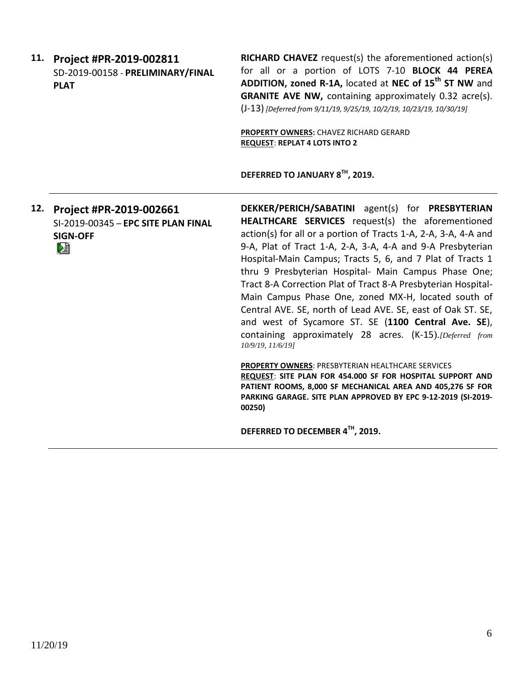| 11. | Project #PR-2019-002811<br>SD-2019-00158 - PRELIMINARY/FINAL<br><b>PLAT</b>            | <b>RICHARD CHAVEZ</b> request(s) the aforementioned action(s)<br>for all or a portion of LOTS 7-10 BLOCK 44 PEREA<br>ADDITION, zoned R-1A, located at NEC of 15 <sup>th</sup> ST NW and<br>GRANITE AVE NW, containing approximately 0.32 acre(s).<br>(J-13) [Deferred from 9/11/19, 9/25/19, 10/2/19, 10/23/19, 10/30/19]<br>PROPERTY OWNERS: CHAVEZ RICHARD GERARD<br><b>REQUEST: REPLAT 4 LOTS INTO 2</b>                                                                                                                                                                                                                                                                                                                                                                                                                                                                                                                                                    |
|-----|----------------------------------------------------------------------------------------|----------------------------------------------------------------------------------------------------------------------------------------------------------------------------------------------------------------------------------------------------------------------------------------------------------------------------------------------------------------------------------------------------------------------------------------------------------------------------------------------------------------------------------------------------------------------------------------------------------------------------------------------------------------------------------------------------------------------------------------------------------------------------------------------------------------------------------------------------------------------------------------------------------------------------------------------------------------|
|     |                                                                                        | DEFERRED TO JANUARY 8TH, 2019.                                                                                                                                                                                                                                                                                                                                                                                                                                                                                                                                                                                                                                                                                                                                                                                                                                                                                                                                 |
| 12. | Project #PR-2019-002661<br>SI-2019-00345 - EPC SITE PLAN FINAL<br><b>SIGN-OFF</b><br>N | DEKKER/PERICH/SABATINI agent(s) for PRESBYTERIAN<br>HEALTHCARE SERVICES request(s) the aforementioned<br>action(s) for all or a portion of Tracts 1-A, 2-A, 3-A, 4-A and<br>9-A, Plat of Tract 1-A, 2-A, 3-A, 4-A and 9-A Presbyterian<br>Hospital-Main Campus; Tracts 5, 6, and 7 Plat of Tracts 1<br>thru 9 Presbyterian Hospital- Main Campus Phase One;<br>Tract 8-A Correction Plat of Tract 8-A Presbyterian Hospital-<br>Main Campus Phase One, zoned MX-H, located south of<br>Central AVE. SE, north of Lead AVE. SE, east of Oak ST. SE,<br>and west of Sycamore ST. SE (1100 Central Ave. SE),<br>containing approximately 28 acres. (K-15). [Deferred from<br>10/9/19, 11/6/19]<br><b>PROPERTY OWNERS: PRESBYTERIAN HEALTHCARE SERVICES</b><br>REQUEST: SITE PLAN FOR 454.000 SF FOR HOSPITAL SUPPORT AND<br>PATIENT ROOMS, 8,000 SF MECHANICAL AREA AND 405,276 SF FOR<br>PARKING GARAGE. SITE PLAN APPROVED BY EPC 9-12-2019 (SI-2019-<br>00250) |
|     |                                                                                        | DEFERRED TO DECEMBER 4TH, 2019.                                                                                                                                                                                                                                                                                                                                                                                                                                                                                                                                                                                                                                                                                                                                                                                                                                                                                                                                |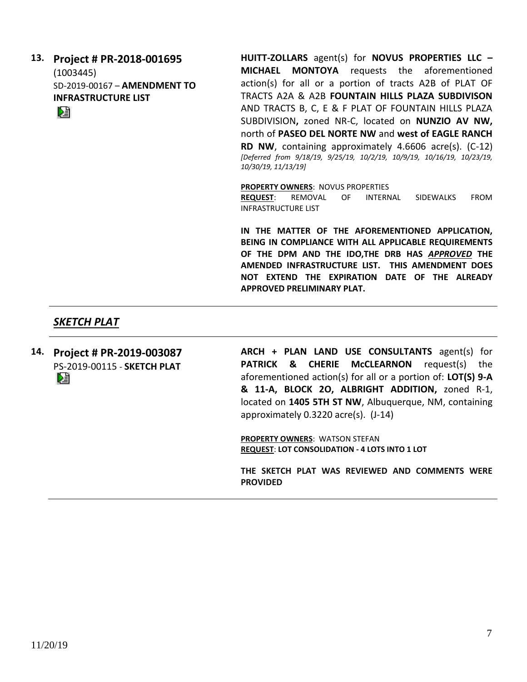| 13. | Project # PR-2018-001695     | <b>HUITT-ZOLLARS</b>  |
|-----|------------------------------|-----------------------|
|     | (1003445)                    | MICHAEL MON           |
|     | SD-2019-00167 - AMENDMENT TO | action(s) for all     |
|     | <b>INFRASTRUCTURE LIST</b>   | TRACTS A2A & A        |
|     | DÈ                           | AND TRACTS B, Q       |
|     |                              | SUBDIVISION, zo       |
|     |                              | north of PASEO D      |
|     |                              | RD NW, contain        |
|     |                              | [Deferred from 9/18/. |
|     |                              | 10/30/19, 11/13/19]   |

agent(s) for **NOVUS PROPERTIES LLC -TOYA** requests the aforementioned or a portion of tracts A2B of PLAT OF **2B FOUNTAIN HILLS PLAZA SUBDIVISON** C, E & F PLAT OF FOUNTAIN HILLS PLAZA ned NR-C, located on **NUNZIO AV NW, DEL NORTE NW and west of EAGLE RANCH** ing approximately 4.6606 acre(s). (C-12) *[Deferred from 9/18/19, 9/25/19, 10/2/19, 10/9/19, 10/16/19, 10/23/19,* 

**PROPERTY OWNERS**: NOVUS PROPERTIES **REQUEST**: REMOVAL OF INTERNAL SIDEWALKS FROM INFRASTRUCTURE LIST

**IN THE MATTER OF THE AFOREMENTIONED APPLICATION, BEING IN COMPLIANCE WITH ALL APPLICABLE REQUIREMENTS OF THE DPM AND THE IDO,THE DRB HAS** *APPROVED* **THE AMENDED INFRASTRUCTURE LIST. THIS AMENDMENT DOES NOT EXTEND THE EXPIRATION DATE OF THE ALREADY APPROVED PRELIMINARY PLAT.**

## *SKETCH PLAT*

**14. Project # PR-2019-003087** PS-2019-00115 - **SKETCH PLAT** DJ

**ARCH + PLAN LAND USE CONSULTANTS** agent(s) for **PATRICK & CHERIE McCLEARNON** request(s) the aforementioned action(s) for all or a portion of: **LOT(S) 9-A & 11-A, BLOCK 2O, ALBRIGHT ADDITION,** zoned R-1, located on **1405 5TH ST NW**, Albuquerque, NM, containing approximately 0.3220 acre(s). (J-14)

**PROPERTY OWNERS**: WATSON STEFAN **REQUEST**: **LOT CONSOLIDATION - 4 LOTS INTO 1 LOT**

**THE SKETCH PLAT WAS REVIEWED AND COMMENTS WERE PROVIDED**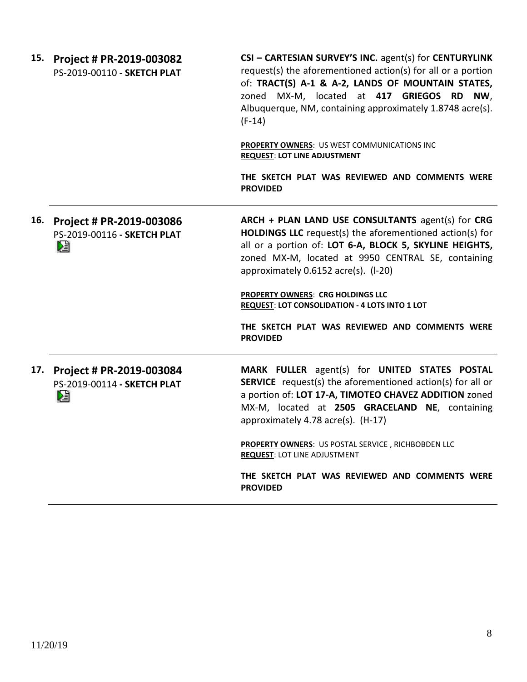| 15. | Project # PR-2019-003082<br>PS-2019-00110 - SKETCH PLAT           | CSI - CARTESIAN SURVEY'S INC. agent(s) for CENTURYLINK<br>request(s) the aforementioned action(s) for all or a portion<br>of: TRACT(S) A-1 & A-2, LANDS OF MOUNTAIN STATES,<br>zoned MX-M, located at 417 GRIEGOS RD NW,<br>Albuquerque, NM, containing approximately 1.8748 acre(s).<br>$(F-14)$ |
|-----|-------------------------------------------------------------------|---------------------------------------------------------------------------------------------------------------------------------------------------------------------------------------------------------------------------------------------------------------------------------------------------|
|     |                                                                   | PROPERTY OWNERS: US WEST COMMUNICATIONS INC<br><b>REQUEST: LOT LINE ADJUSTMENT</b>                                                                                                                                                                                                                |
|     |                                                                   | THE SKETCH PLAT WAS REVIEWED AND COMMENTS WERE<br><b>PROVIDED</b>                                                                                                                                                                                                                                 |
|     | 16. Project # PR-2019-003086<br>PS-2019-00116 - SKETCH PLAT<br>Dê | ARCH + PLAN LAND USE CONSULTANTS agent(s) for CRG<br><b>HOLDINGS LLC</b> request(s) the aforementioned action(s) for<br>all or a portion of: LOT 6-A, BLOCK 5, SKYLINE HEIGHTS,<br>zoned MX-M, located at 9950 CENTRAL SE, containing<br>approximately 0.6152 acre(s). (I-20)                     |
|     |                                                                   | PROPERTY OWNERS: CRG HOLDINGS LLC<br>REQUEST: LOT CONSOLIDATION - 4 LOTS INTO 1 LOT                                                                                                                                                                                                               |
|     |                                                                   | THE SKETCH PLAT WAS REVIEWED AND COMMENTS WERE<br><b>PROVIDED</b>                                                                                                                                                                                                                                 |
|     | 17. Project # PR-2019-003084<br>PS-2019-00114 - SKETCH PLAT<br>麏  | MARK FULLER agent(s) for UNITED STATES POSTAL<br><b>SERVICE</b> request(s) the aforementioned action(s) for all or<br>a portion of: LOT 17-A, TIMOTEO CHAVEZ ADDITION zoned<br>MX-M, located at 2505 GRACELAND NE, containing<br>approximately 4.78 acre(s). (H-17)                               |
|     |                                                                   | PROPERTY OWNERS: US POSTAL SERVICE, RICHBOBDEN LLC<br><b>REQUEST: LOT LINE ADJUSTMENT</b>                                                                                                                                                                                                         |
|     |                                                                   | THE SKETCH PLAT WAS REVIEWED AND COMMENTS WERE<br><b>PROVIDED</b>                                                                                                                                                                                                                                 |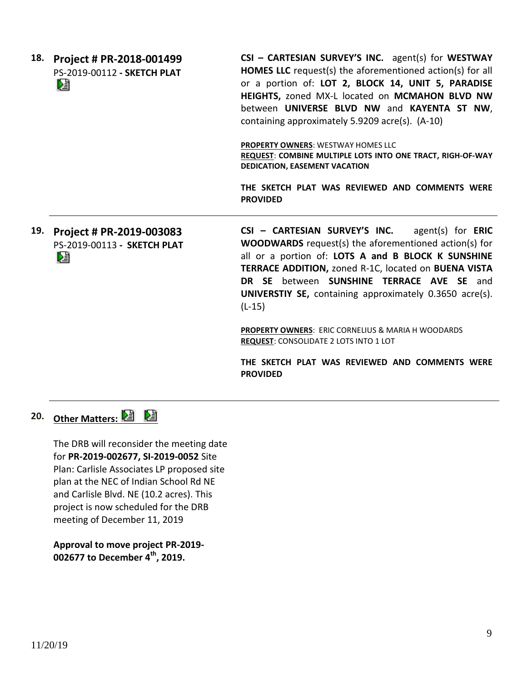| 18. | Project # PR-2018-001499<br>PS-2019-00112 - SKETCH PLAT<br>N | CSI - CARTESIAN SURVEY'S INC. agent(s) for WESTWAY<br><b>HOMES LLC</b> request(s) the aforementioned action(s) for all<br>or a portion of: LOT 2, BLOCK 14, UNIT 5, PARADISE<br>HEIGHTS, zoned MX-L located on MCMAHON BLVD NW<br>between UNIVERSE BLVD NW and KAYENTA ST NW,<br>containing approximately 5.9209 acre(s). (A-10) |
|-----|--------------------------------------------------------------|----------------------------------------------------------------------------------------------------------------------------------------------------------------------------------------------------------------------------------------------------------------------------------------------------------------------------------|
|     |                                                              | <b>PROPERTY OWNERS: WESTWAY HOMES LLC</b><br>REQUEST: COMBINE MULTIPLE LOTS INTO ONE TRACT, RIGH-OF-WAY<br>DEDICATION, EASEMENT VACATION                                                                                                                                                                                         |
|     |                                                              | THE SKETCH PLAT WAS REVIEWED AND COMMENTS WERE<br><b>PROVIDED</b>                                                                                                                                                                                                                                                                |
| 19. | Project # PR-2019-003083<br>PS-2019-00113 - SKETCH PLAT<br>V | $CSI - CARTESIAN SURVEY'S INC.$ agent(s) for ERIC<br><b>WOODWARDS</b> request(s) the aforementioned action(s) for<br>all or a portion of: LOTS A and B BLOCK K SUNSHINE                                                                                                                                                          |

all or a portion of: **LOTS A and B BLOCK K SUNSHINE TERRACE ADDITION,** zoned R-1C, located on **BUENA VISTA DR SE** between **SUNSHINE TERRACE AVE SE** and **UNIVERSTIY SE,** containing approximately 0.3650 acre(s). (L-15)

**PROPERTY OWNERS**: ERIC CORNELIUS & MARIA H WOODARDS **REQUEST**: CONSOLIDATE 2 LOTS INTO 1 LOT

**THE SKETCH PLAT WAS REVIEWED AND COMMENTS WERE PROVIDED**

**20. Other Matters:** 

The DRB will reconsider the meeting date for **PR-2019-002677, SI-2019-0052** Site Plan: Carlisle Associates LP proposed site plan at the NEC of Indian School Rd NE and Carlisle Blvd. NE (10.2 acres). This project is now scheduled for the DRB meeting of December 11, 2019

**Approval to move project PR-2019- 002677 to December 4th, 2019.**